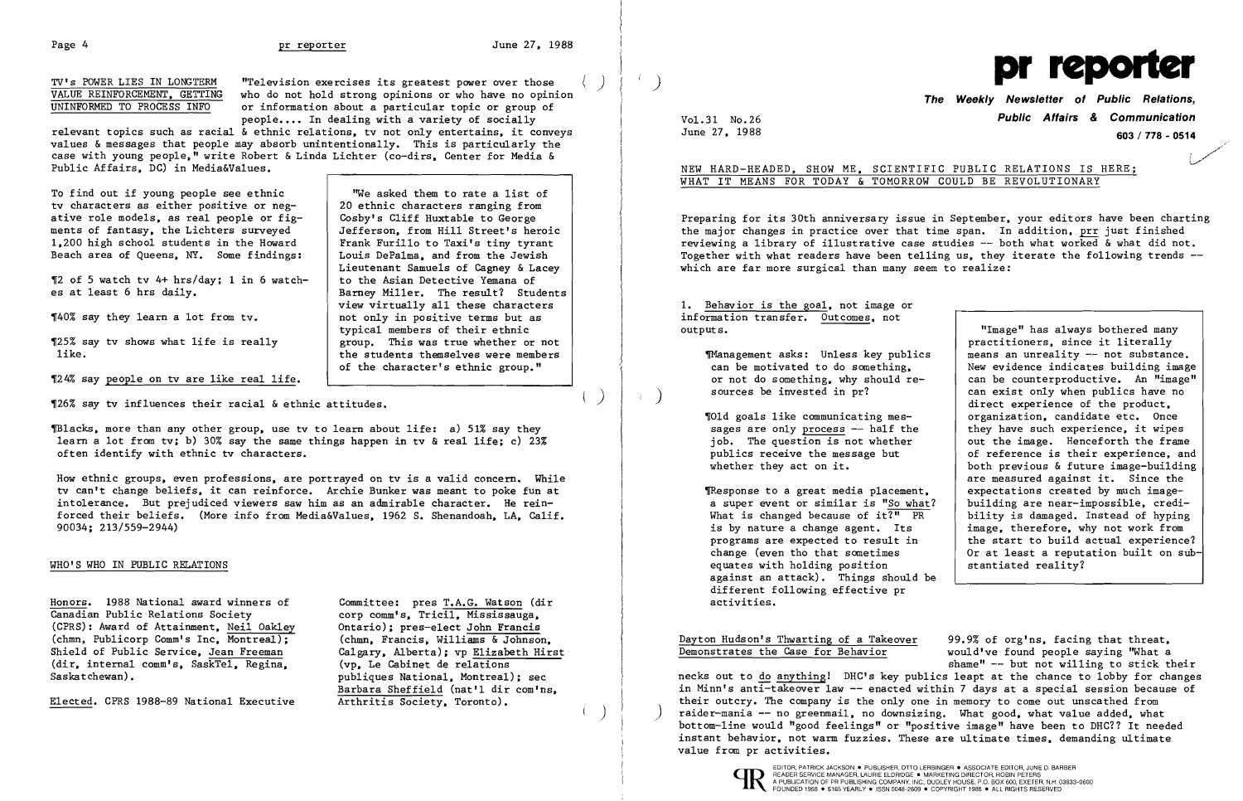$($ )

relevant topics such as racial & ethnic relations, tv not only entertains, it conveys values & messages that people may absorb unintentionally. This is particularly the case with young people." write Robert & Linda Lichter (co-dirs, Center for Media & Public Affairs, DC) in Media&Values.

To find out if young people see ethnic tv characters as either positive or negative role models, as real people or figments of fantasy, the Lichters surveyed 1,200 high school students in the Howard Beach area of Queens, NY. Some findings:

"We asked them to rate a list of 20 ethnic characters ranging from Cosby's Cliff Huxtable to George Jefferson, from Hill Street's heroic Frank Furillo to Taxi's tiny tyrant Louis DePalma, and from the Jewish Lieutenant Samuels of Cagney & Lacey to the Asian Detective Yemana of Barney Miller. The result? Students view virtually all these characters not only in positive terms but as typical members of their ethnic group. This was true whether or not the students themselves were members of the character's ethnic group."

.<br>محمد المسيح المسيح المسيح المسيح المسيح المسيح المسيح المسيح المسيح المسيح المسيح المسيح المسيح المسيح المسيح .<br>مسمير إ **\.......'** 

Preparing for its 30th anniversary issue in September, your editors have been charting the major changes in practice over that time span. In addition, prr just finished reviewing a library of illustrative case studies -- both what worked & what did not. Together with what readers have been telling us, they iterate the following trends -which are far more surgical than many seem to realize:

'2 of 5 watch tv 4+ hrs/day; 1 in 6 watches at least 6 hrs daily.

'40% say they learn a lot from tv.

'25% say tv shows what life is really like.

'24% say people on tv are like real life.

# Vo1.31 No.26 **Public Affairs & Communication**  June 27, 1988 **603/778 - <sup>0514</sup>**

NEW HARD-HEADED, SHOW ME, SCIENTIFIC PUBLIC RELATIONS IS HERE;

TResponse to a great media placement a super event or similar is "So what What is changed because of  $it\overline{?}$  PR is by nature a change agent. Its programs are expected to result in change (even tho that sometimes equates with holding position against an attack). Things should different following effective pr activities.

### WHAT IT MEANS FOR TODAY & TOMORROW COULD BE REVOLUTIONARY

Dayton Hudson's Thwarting of a Takeover 99.9% of org'ns, facing that threat,<br>Demonstrates the Case for Behavior would've found people saying "What a would've found people saying "What a shame"  $--$  but not willing to stick their necks out to do anything! DHC's key publics leapt at the chance to lobby for changes in Minn's anti-takeover law -- enacted within 7 days at a special session because of their outcry. The company is the only one in memory to come out unscathed from raider-mania -- no greenmail, no downsizing. What good, what value added, what bottom-line would "good feelings" or "positive image" have been to DHC?? It needed instant behavior, not warm fuzzies. These are ultimate times, demanding ultimate value from pr activities.



1. Behavior is the goal, not image or information transfer. Outcomes, not outputs.

> TManagement asks: Unless key public can be motivated to do something. or not do something, why should resources be invested in pr?

 $\P$ 01d goals like communicating messages are only process  $-$  half the job. The question is not whether publics receive the message but whether they act on it.

| ion transfer. Outcomes, not        |                                                                       |
|------------------------------------|-----------------------------------------------------------------------|
|                                    | "Image" has always bothered many<br>practitioners, since it literally |
| agement asks: Unless key publics   | means an unreality -- not substance.                                  |
| be motivated to do something,      | New evidence indicates building image                                 |
| not do something, why should re-   | can be counterproductive. An "image"                                  |
| rces be invested in pr?            | can exist only when publics have no                                   |
|                                    |                                                                       |
|                                    | direct experience of the product,                                     |
| goals like communicating mes-      | organization, candidate etc. Once                                     |
| es are only process -- half the    | they have such experience, it wipes                                   |
| . The question is not whether      | out the image. Henceforth the frame                                   |
| lics receive the message but       | of reference is their experience, and                                 |
| ther they act on it.               | both previous & future image-building                                 |
|                                    | are measured against it. Since the                                    |
| oonse to a great media placement,  | expectations created by much image-                                   |
| uper event or similar is "So what? | building are near-impossible, credi-                                  |
| $:$ is changed because of it?" PR  | bility is damaged. Instead of hyping                                  |
| by nature a change agent. Its      | image, therefore, why not work from                                   |
| grams are expected to result in    | the start to build actual experience?                                 |
| ige (even tho that sometimes       | Or at least a reputation built on sub-                                |
| tes with holding position          | stantiated reality?                                                   |
| inst an attack). Things should be  |                                                                       |
|                                    |                                                                       |

'26% say tv influences their racial & ethnic attitudes.

~lacks, more than any other group, use tv to learn about life: a) 51% say they learn a lot from tv; b) 30% say the same things happen in tv & real life; c) 23% often identify with ethnic tv characters.

How ethnic groups, even professions, are portrayed on tv is a valid concern. While tv can't change beliefs, it can reinforce. Archie Bunker was meant to poke fun at intolerance. But prejudiced viewers saw him as an admirable character. He reinforced their beliefs. (More info from Media&Values, 1962 S. Shenandoah, LA, Calif. 90034; 213/559-2944)

### WHO'S WHO IN PUBLIC RELATIONS

Honors. 1988 National award winners of Committee: pres T.A.G. Watson (dir Canadian Public Relations Society corp comm's. Tricil. Mississauga. (CPRS): Award of Attainment, Neil Oakley (Chmn, Publicorp Comm's Inc, Montreal); (chmn, Francis, Williams & Johnson, (chmn, Publicorp Comm's Inc, Montreal); (chmn, Francis, Williams & Johnson, Shield of Public Service. Jean Freeman Calgary. Alberta): vp Elizabeth Hirst Shield of Public Service, Jean Freeman (dir, internal comm's, SaskTel, Regina, (vp, Le Cabinet de relations Saskatchewan).

Elected. CPRS 1988-89 National Executive

corp comm's, Tricil, Mississauga,<br>Ontario); pres-elect John Francis publiques National, Montreal); sec Barbara Sheffield (nat'l dir com'ns,<br>Arthritis Society, Toronto).

)

TV's POWER LIES IN LONGTERM "Television exercises its greatest power over those () () () The Weekly Newsletter of Public Relations, UNINFORMED TO PROCESS INFO evidence of the Graphic Relations, people.... In dealing with a variety of socially